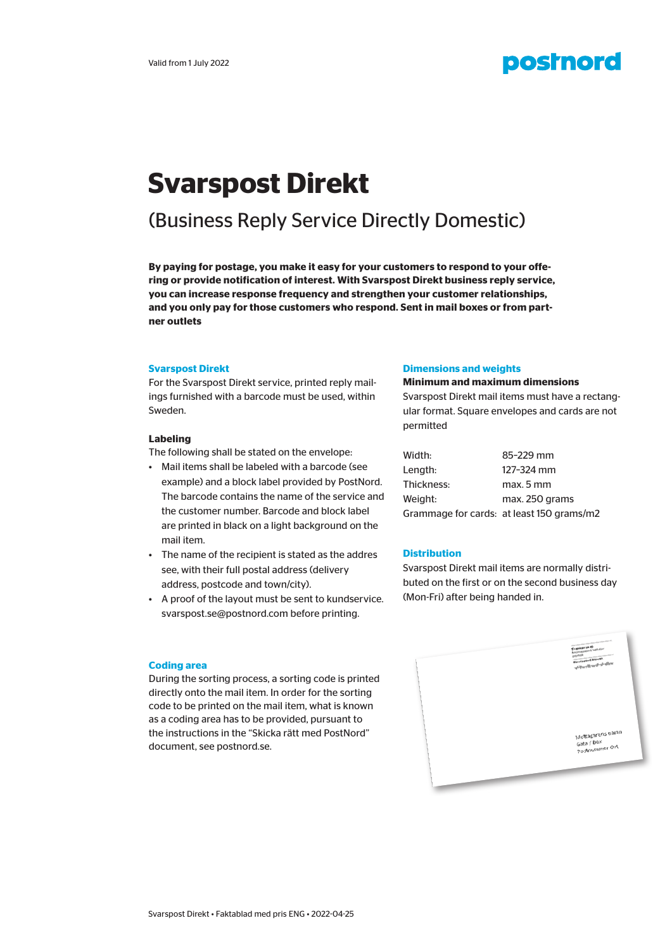

# **Svarspost Direkt**

## (Business Reply Service Directly Domestic)

**By paying for postage, you make it easy for your customers to respond to your offering or provide notification of interest. With Svarspost Direkt business reply service, you can increase response frequency and strengthen your customer relationships, and you only pay for those customers who respond. Sent in mail boxes or from partner outlets**

#### **Svarspost Direkt**

**Bidispost Direkt**<br>For the Svarspost Direkt service, printed reply mailings furnished with a barcode must be used, within Sweden.

#### **Labeling**

The following shall be stated on the envelope:

- Example) and a block label provided by PostNord.<br>The barcode contains the name of the service and<br>the sustainancements in Paractle and black label. **Genom att bjuda på portot gör du det enkelt för dina kunder att svara på**  • Mail items shall be labeled with a barcode (see example) and a block label provided by PostNord. the customer number. Barcode and block label are printed in black on a light background on the mail item.
- The name of the recipient is stated as the addres **Distribution** see, with their full postal address (delivery Svarspost Direkt mail items are r address, postcode and town/city). **Example:** buted on the first or on the
- A proof of the layout must be sent to kundservice. svarspost.se@postnord.com before printing.

#### **Dimensions and weights**

#### **Minimum and maximum dimensions**

Svarspost Direkt mail items must have a rectangular format. Square envelopes and cards are not permitted

| Width:     | 85-229 mm                                 |
|------------|-------------------------------------------|
| Lenath:    | 127-324 mm                                |
| Thickness: | max. 5 mm                                 |
| Weiaht:    | max. 250 grams                            |
|            | Grammage for cards: at least 150 grams/m2 |

#### **Distribution**

Svarspost Direkt mail items are normally distributed on the first or on the second business day (Mon-Fri) after being handed in.



### **Coding area**

directly onto the mail item. In order for the sorting code to be printed on the mail item, what is known as a county area has to be provided, parsaant to<br>the instructions in the "Skicka rätt med PostNord" endigt kliche som finns att hämta på postnord.<br>document, see postnord.se. samt streek exempel tillhandelse exempel og exempel tillhandelse exempel og exempel tillhandelse exempel. I so During the sorting process, a sorting code is printed as a coding area has to be provided, pursuant to